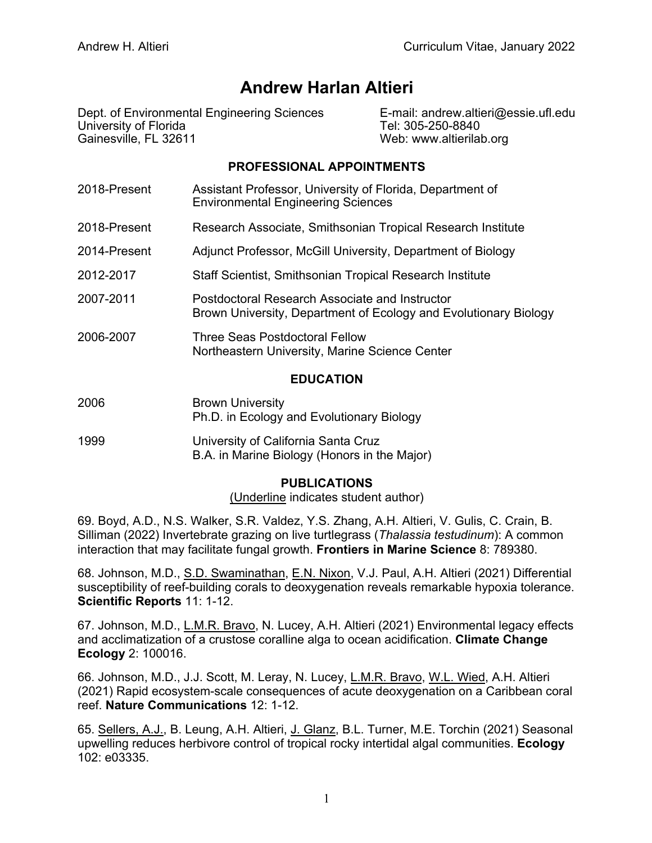# **Andrew Harlan Altieri**

Dept. of Environmental Engineering Sciences E-mail: andrew.altieri@essie.ufl.edu University of Florida Tel: 305-250-8840 Gainesville, FL 32611 Web: www.altierilab.org

## **PROFESSIONAL APPOINTMENTS**

- 2018-Present Assistant Professor, University of Florida, Department of Environmental Engineering Sciences 2018-Present Research Associate, Smithsonian Tropical Research Institute 2014-Present Adjunct Professor, McGill University, Department of Biology 2012-2017 Staff Scientist, Smithsonian Tropical Research Institute 2007-2011 Postdoctoral Research Associate and Instructor Brown University, Department of Ecology and Evolutionary Biology
- 2006-2007 Three Seas Postdoctoral Fellow Northeastern University, Marine Science Center

## **EDUCATION**

- 2006 Brown University Ph.D. in Ecology and Evolutionary Biology
- 1999 University of California Santa Cruz B.A. in Marine Biology (Honors in the Major)

## **PUBLICATIONS**

(Underline indicates student author)

69. Boyd, A.D., N.S. Walker, S.R. Valdez, Y.S. Zhang, A.H. Altieri, V. Gulis, C. Crain, B. Silliman (2022) Invertebrate grazing on live turtlegrass (*Thalassia testudinum*): A common interaction that may facilitate fungal growth. **Frontiers in Marine Science** 8: 789380.

68. Johnson, M.D., S.D. Swaminathan, E.N. Nixon, V.J. Paul, A.H. Altieri (2021) Differential susceptibility of reef-building corals to deoxygenation reveals remarkable hypoxia tolerance. **Scientific Reports** 11: 1-12.

67. Johnson, M.D., L.M.R. Bravo, N. Lucey, A.H. Altieri (2021) Environmental legacy effects and acclimatization of a crustose coralline alga to ocean acidification. **Climate Change Ecology** 2: 100016.

66. Johnson, M.D., J.J. Scott, M. Leray, N. Lucey, L.M.R. Bravo, W.L. Wied, A.H. Altieri (2021) Rapid ecosystem-scale consequences of acute deoxygenation on a Caribbean coral reef. **Nature Communications** 12: 1-12.

65. Sellers, A.J., B. Leung, A.H. Altieri, J. Glanz, B.L. Turner, M.E. Torchin (2021) Seasonal upwelling reduces herbivore control of tropical rocky intertidal algal communities. **Ecology** 102: e03335.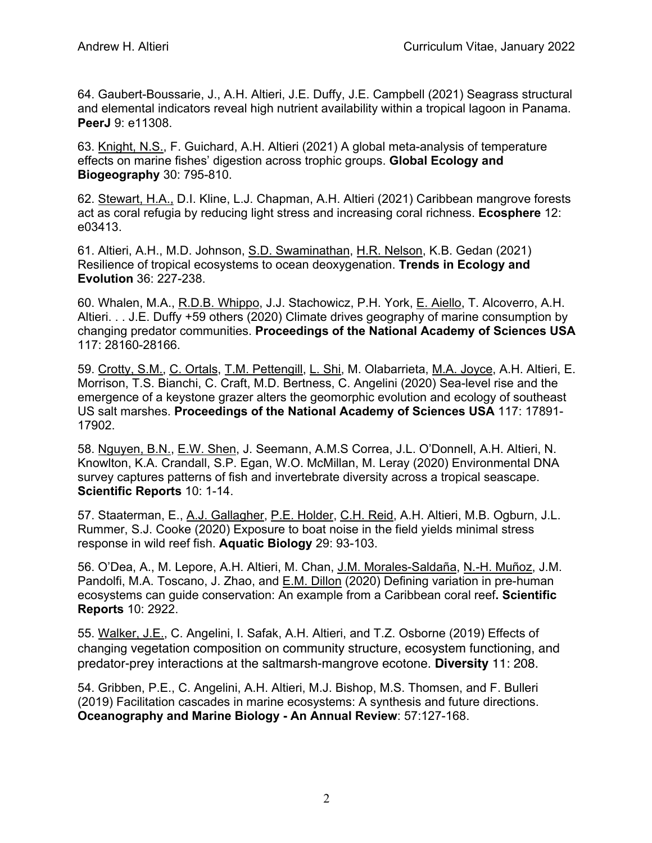64. Gaubert-Boussarie, J., A.H. Altieri, J.E. Duffy, J.E. Campbell (2021) Seagrass structural and elemental indicators reveal high nutrient availability within a tropical lagoon in Panama. **PeerJ** 9: e11308.

63. Knight, N.S., F. Guichard, A.H. Altieri (2021) A global meta-analysis of temperature effects on marine fishes' digestion across trophic groups. **Global Ecology and Biogeography** 30: 795-810.

62. Stewart, H.A., D.I. Kline, L.J. Chapman, A.H. Altieri (2021) Caribbean mangrove forests act as coral refugia by reducing light stress and increasing coral richness. **Ecosphere** 12: e03413.

61. Altieri, A.H., M.D. Johnson, S.D. Swaminathan, H.R. Nelson, K.B. Gedan (2021) Resilience of tropical ecosystems to ocean deoxygenation. **Trends in Ecology and Evolution** 36: 227-238.

60. Whalen, M.A., R.D.B. Whippo, J.J. Stachowicz, P.H. York, E. Aiello, T. Alcoverro, A.H. Altieri. . . J.E. Duffy +59 others (2020) Climate drives geography of marine consumption by changing predator communities. **Proceedings of the National Academy of Sciences USA** 117: 28160-28166.

59. Crotty, S.M., C. Ortals, T.M. Pettengill, L. Shi, M. Olabarrieta, M.A. Joyce, A.H. Altieri, E. Morrison, T.S. Bianchi, C. Craft, M.D. Bertness, C. Angelini (2020) Sea-level rise and the emergence of a keystone grazer alters the geomorphic evolution and ecology of southeast US salt marshes. **Proceedings of the National Academy of Sciences USA** 117: 17891- 17902.

58. Nguyen, B.N., E.W. Shen, J. Seemann, A.M.S Correa, J.L. O'Donnell, A.H. Altieri, N. Knowlton, K.A. Crandall, S.P. Egan, W.O. McMillan, M. Leray (2020) Environmental DNA survey captures patterns of fish and invertebrate diversity across a tropical seascape. **Scientific Reports** 10: 1-14.

57. Staaterman, E., A.J. Gallagher, P.E. Holder, C.H. Reid, A.H. Altieri, M.B. Ogburn, J.L. Rummer, S.J. Cooke (2020) Exposure to boat noise in the field yields minimal stress response in wild reef fish. **Aquatic Biology** 29: 93-103.

56. O'Dea, A., M. Lepore, A.H. Altieri, M. Chan, J.M. Morales-Saldaña, N.-H. Muñoz, J.M. Pandolfi, M.A. Toscano, J. Zhao, and E.M. Dillon (2020) Defining variation in pre-human ecosystems can guide conservation: An example from a Caribbean coral reef**. Scientific Reports** 10: 2922.

55. Walker, J.E., C. Angelini, I. Safak, A.H. Altieri, and T.Z. Osborne (2019) Effects of changing vegetation composition on community structure, ecosystem functioning, and predator-prey interactions at the saltmarsh-mangrove ecotone. **Diversity** 11: 208.

54. Gribben, P.E., C. Angelini, A.H. Altieri, M.J. Bishop, M.S. Thomsen, and F. Bulleri (2019) Facilitation cascades in marine ecosystems: A synthesis and future directions. **Oceanography and Marine Biology - An Annual Review**: 57:127-168.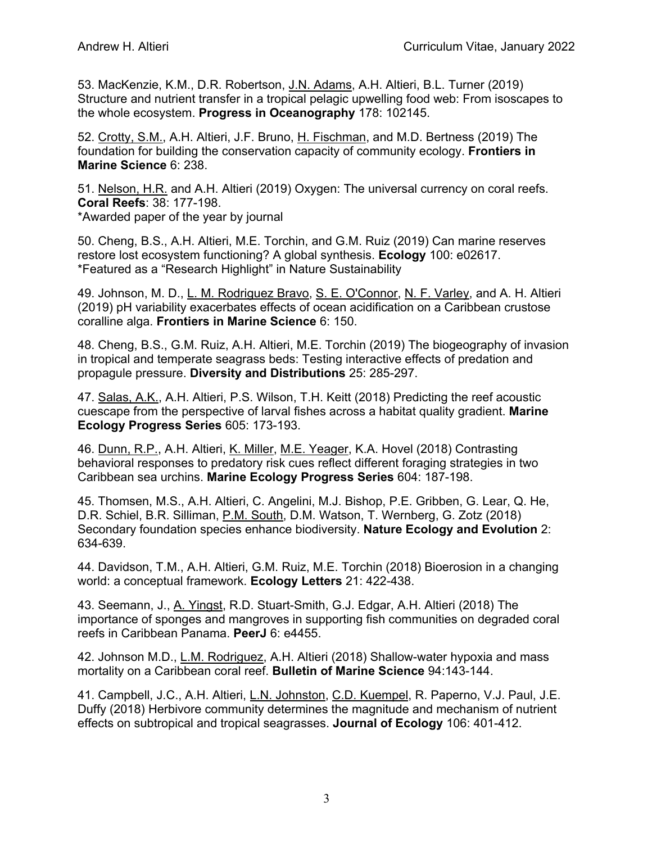53. MacKenzie, K.M., D.R. Robertson, J.N. Adams, A.H. Altieri, B.L. Turner (2019) Structure and nutrient transfer in a tropical pelagic upwelling food web: From isoscapes to the whole ecosystem. **Progress in Oceanography** 178: 102145.

52. Crotty, S.M., A.H. Altieri, J.F. Bruno, H. Fischman, and M.D. Bertness (2019) The foundation for building the conservation capacity of community ecology. **Frontiers in Marine Science** 6: 238.

51. Nelson, H.R. and A.H. Altieri (2019) Oxygen: The universal currency on coral reefs. **Coral Reefs**: 38: 177-198.

\*Awarded paper of the year by journal

50. Cheng, B.S., A.H. Altieri, M.E. Torchin, and G.M. Ruiz (2019) Can marine reserves restore lost ecosystem functioning? A global synthesis. **Ecology** 100: e02617. \*Featured as a "Research Highlight" in Nature Sustainability

49. Johnson, M. D., L. M. Rodriguez Bravo, S. E. O'Connor, N. F. Varley, and A. H. Altieri (2019) pH variability exacerbates effects of ocean acidification on a Caribbean crustose coralline alga. **Frontiers in Marine Science** 6: 150.

48. Cheng, B.S., G.M. Ruiz, A.H. Altieri, M.E. Torchin (2019) The biogeography of invasion in tropical and temperate seagrass beds: Testing interactive effects of predation and propagule pressure. **Diversity and Distributions** 25: 285-297.

47. Salas, A.K., A.H. Altieri, P.S. Wilson, T.H. Keitt (2018) Predicting the reef acoustic cuescape from the perspective of larval fishes across a habitat quality gradient. **Marine Ecology Progress Series** 605: 173-193.

46. Dunn, R.P., A.H. Altieri, K. Miller, M.E. Yeager, K.A. Hovel (2018) Contrasting behavioral responses to predatory risk cues reflect different foraging strategies in two Caribbean sea urchins. **Marine Ecology Progress Series** 604: 187-198.

45. Thomsen, M.S., A.H. Altieri, C. Angelini, M.J. Bishop, P.E. Gribben, G. Lear, Q. He, D.R. Schiel, B.R. Silliman, P.M. South, D.M. Watson, T. Wernberg, G. Zotz (2018) Secondary foundation species enhance biodiversity. **Nature Ecology and Evolution** 2: 634-639.

44. Davidson, T.M., A.H. Altieri, G.M. Ruiz, M.E. Torchin (2018) Bioerosion in a changing world: a conceptual framework. **Ecology Letters** 21: 422-438.

43. Seemann, J., A. Yingst, R.D. Stuart-Smith, G.J. Edgar, A.H. Altieri (2018) The importance of sponges and mangroves in supporting fish communities on degraded coral reefs in Caribbean Panama. **PeerJ** 6: e4455.

42. Johnson M.D., L.M. Rodriguez, A.H. Altieri (2018) Shallow-water hypoxia and mass mortality on a Caribbean coral reef. **Bulletin of Marine Science** 94:143-144.

41. Campbell, J.C., A.H. Altieri, L.N. Johnston, C.D. Kuempel, R. Paperno, V.J. Paul, J.E. Duffy (2018) Herbivore community determines the magnitude and mechanism of nutrient effects on subtropical and tropical seagrasses. **Journal of Ecology** 106: 401-412.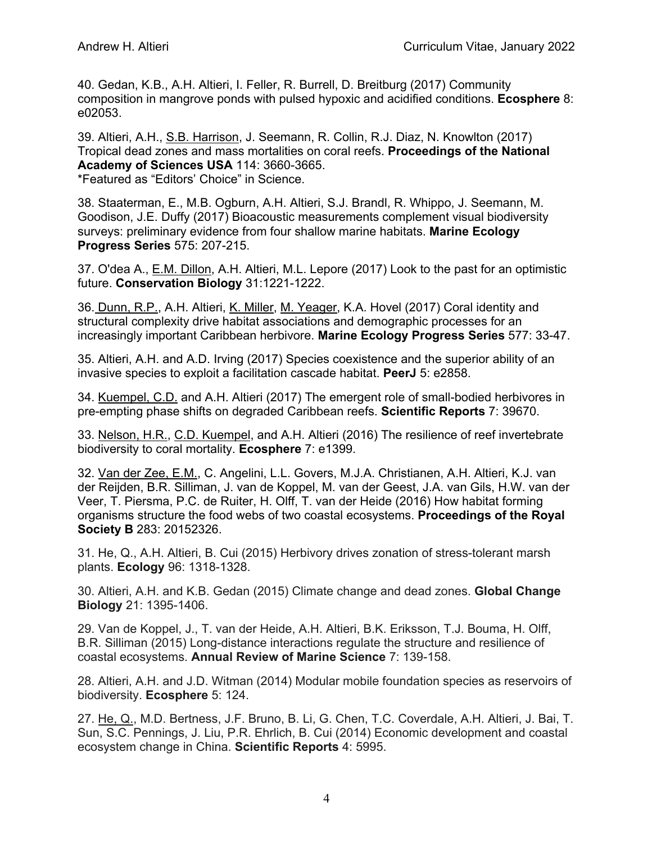40. Gedan, K.B., A.H. Altieri, I. Feller, R. Burrell, D. Breitburg (2017) Community composition in mangrove ponds with pulsed hypoxic and acidified conditions. **Ecosphere** 8: e02053.

39. Altieri, A.H., S.B. Harrison, J. Seemann, R. Collin, R.J. Diaz, N. Knowlton (2017) Tropical dead zones and mass mortalities on coral reefs. **Proceedings of the National Academy of Sciences USA** 114: 3660-3665.

\*Featured as "Editors' Choice" in Science.

38. Staaterman, E., M.B. Ogburn, A.H. Altieri, S.J. Brandl, R. Whippo, J. Seemann, M. Goodison, J.E. Duffy (2017) Bioacoustic measurements complement visual biodiversity surveys: preliminary evidence from four shallow marine habitats. **Marine Ecology Progress Series** 575: 207-215.

37. O'dea A., E.M. Dillon, A.H. Altieri, M.L. Lepore (2017) Look to the past for an optimistic future. **Conservation Biology** 31:1221-1222.

36. Dunn, R.P., A.H. Altieri, K. Miller, M. Yeager, K.A. Hovel (2017) Coral identity and structural complexity drive habitat associations and demographic processes for an increasingly important Caribbean herbivore. **Marine Ecology Progress Series** 577: 33-47.

35. Altieri, A.H. and A.D. Irving (2017) Species coexistence and the superior ability of an invasive species to exploit a facilitation cascade habitat. **PeerJ** 5: e2858.

34. Kuempel, C.D. and A.H. Altieri (2017) The emergent role of small-bodied herbivores in pre-empting phase shifts on degraded Caribbean reefs. **Scientific Reports** 7: 39670.

33. Nelson, H.R., C.D. Kuempel, and A.H. Altieri (2016) The resilience of reef invertebrate biodiversity to coral mortality. **Ecosphere** 7: e1399.

32. Van der Zee, E.M., C. Angelini, L.L. Govers, M.J.A. Christianen, A.H. Altieri, K.J. van der Reijden, B.R. Silliman, J. van de Koppel, M. van der Geest, J.A. van Gils, H.W. van der Veer, T. Piersma, P.C. de Ruiter, H. Olff, T. van der Heide (2016) How habitat forming organisms structure the food webs of two coastal ecosystems. **Proceedings of the Royal Society B** 283: 20152326.

31. He, Q., A.H. Altieri, B. Cui (2015) Herbivory drives zonation of stress-tolerant marsh plants. **Ecology** 96: 1318-1328.

30. Altieri, A.H. and K.B. Gedan (2015) Climate change and dead zones. **Global Change Biology** 21: 1395-1406.

29. Van de Koppel, J., T. van der Heide, A.H. Altieri, B.K. Eriksson, T.J. Bouma, H. Olff, B.R. Silliman (2015) Long-distance interactions regulate the structure and resilience of coastal ecosystems. **Annual Review of Marine Science** 7: 139-158.

28. Altieri, A.H. and J.D. Witman (2014) Modular mobile foundation species as reservoirs of biodiversity. **Ecosphere** 5: 124.

27. He, Q., M.D. Bertness, J.F. Bruno, B. Li, G. Chen, T.C. Coverdale, A.H. Altieri, J. Bai, T. Sun, S.C. Pennings, J. Liu, P.R. Ehrlich, B. Cui (2014) Economic development and coastal ecosystem change in China. **Scientific Reports** 4: 5995.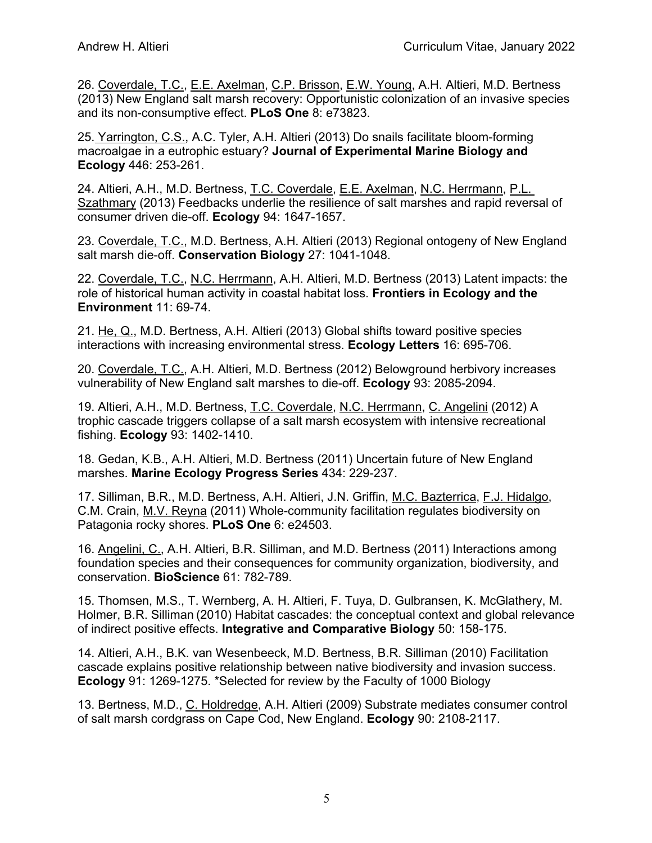26. Coverdale, T.C., E.E. Axelman, C.P. Brisson, E.W. Young, A.H. Altieri, M.D. Bertness (2013) New England salt marsh recovery: Opportunistic colonization of an invasive species and its non-consumptive effect. **PLoS One** 8: e73823.

25. Yarrington, C.S., A.C. Tyler, A.H. Altieri (2013) Do snails facilitate bloom-forming macroalgae in a eutrophic estuary? **Journal of Experimental Marine Biology and Ecology** 446: 253-261.

24. Altieri, A.H., M.D. Bertness, T.C. Coverdale, E.E. Axelman, N.C. Herrmann, P.L. Szathmary (2013) Feedbacks underlie the resilience of salt marshes and rapid reversal of consumer driven die-off. **Ecology** 94: 1647-1657.

23. Coverdale, T.C., M.D. Bertness, A.H. Altieri (2013) Regional ontogeny of New England salt marsh die-off. **Conservation Biology** 27: 1041-1048.

22. Coverdale, T.C., N.C. Herrmann, A.H. Altieri, M.D. Bertness (2013) Latent impacts: the role of historical human activity in coastal habitat loss. **Frontiers in Ecology and the Environment** 11: 69-74.

21. He, Q., M.D. Bertness, A.H. Altieri (2013) Global shifts toward positive species interactions with increasing environmental stress. **Ecology Letters** 16: 695-706.

20. Coverdale, T.C., A.H. Altieri, M.D. Bertness (2012) Belowground herbivory increases vulnerability of New England salt marshes to die-off. **Ecology** 93: 2085-2094.

19. Altieri, A.H., M.D. Bertness, T.C. Coverdale, N.C. Herrmann, C. Angelini (2012) A trophic cascade triggers collapse of a salt marsh ecosystem with intensive recreational fishing. **Ecology** 93: 1402-1410.

18. Gedan, K.B., A.H. Altieri, M.D. Bertness (2011) Uncertain future of New England marshes. **Marine Ecology Progress Series** 434: 229-237.

17. Silliman, B.R., M.D. Bertness, A.H. Altieri, J.N. Griffin, M.C. Bazterrica, F.J. Hidalgo, C.M. Crain, M.V. Reyna (2011) Whole-community facilitation regulates biodiversity on Patagonia rocky shores. **PLoS One** 6: e24503.

16. Angelini, C., A.H. Altieri, B.R. Silliman, and M.D. Bertness (2011) Interactions among foundation species and their consequences for community organization, biodiversity, and conservation. **BioScience** 61: 782-789.

15. Thomsen, M.S., T. Wernberg, A. H. Altieri, F. Tuya, D. Gulbransen, K. McGlathery, M. Holmer, B.R. Silliman (2010) Habitat cascades: the conceptual context and global relevance of indirect positive effects. **Integrative and Comparative Biology** 50: 158-175.

14. Altieri, A.H., B.K. van Wesenbeeck, M.D. Bertness, B.R. Silliman (2010) Facilitation cascade explains positive relationship between native biodiversity and invasion success. **Ecology** 91: 1269-1275. \*Selected for review by the Faculty of 1000 Biology

13. Bertness, M.D., C. Holdredge, A.H. Altieri (2009) Substrate mediates consumer control of salt marsh cordgrass on Cape Cod, New England. **Ecology** 90: 2108-2117.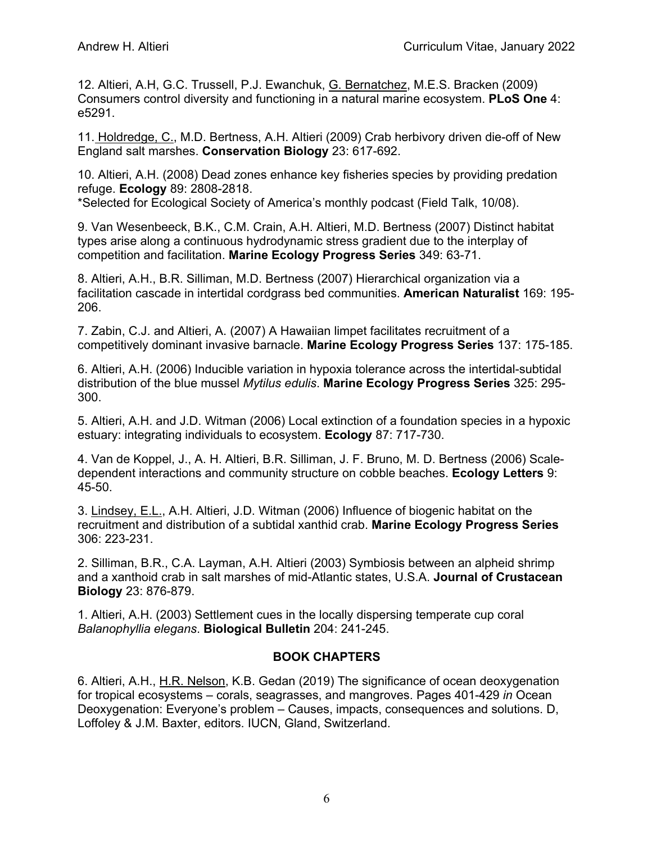12. Altieri, A.H, G.C. Trussell, P.J. Ewanchuk, G. Bernatchez, M.E.S. Bracken (2009) Consumers control diversity and functioning in a natural marine ecosystem. **PLoS One** 4: e5291.

11. Holdredge, C., M.D. Bertness, A.H. Altieri (2009) Crab herbivory driven die-off of New England salt marshes. **Conservation Biology** 23: 617-692.

10. Altieri, A.H. (2008) Dead zones enhance key fisheries species by providing predation refuge. **Ecology** 89: 2808-2818.

\*Selected for Ecological Society of America's monthly podcast (Field Talk, 10/08).

9. Van Wesenbeeck, B.K., C.M. Crain, A.H. Altieri, M.D. Bertness (2007) Distinct habitat types arise along a continuous hydrodynamic stress gradient due to the interplay of competition and facilitation. **Marine Ecology Progress Series** 349: 63-71.

8. Altieri, A.H., B.R. Silliman, M.D. Bertness (2007) Hierarchical organization via a facilitation cascade in intertidal cordgrass bed communities. **American Naturalist** 169: 195- 206.

7. Zabin, C.J. and Altieri, A. (2007) A Hawaiian limpet facilitates recruitment of a competitively dominant invasive barnacle. **Marine Ecology Progress Series** 137: 175-185.

6. Altieri, A.H. (2006) Inducible variation in hypoxia tolerance across the intertidal-subtidal distribution of the blue mussel *Mytilus edulis*. **Marine Ecology Progress Series** 325: 295- 300.

5. Altieri, A.H. and J.D. Witman (2006) Local extinction of a foundation species in a hypoxic estuary: integrating individuals to ecosystem. **Ecology** 87: 717-730.

4. Van de Koppel, J., A. H. Altieri, B.R. Silliman, J. F. Bruno, M. D. Bertness (2006) Scaledependent interactions and community structure on cobble beaches. **Ecology Letters** 9: 45-50.

3. Lindsey, E.L., A.H. Altieri, J.D. Witman (2006) Influence of biogenic habitat on the recruitment and distribution of a subtidal xanthid crab. **Marine Ecology Progress Series** 306: 223-231.

2. Silliman, B.R., C.A. Layman, A.H. Altieri (2003) Symbiosis between an alpheid shrimp and a xanthoid crab in salt marshes of mid-Atlantic states, U.S.A. **Journal of Crustacean Biology** 23: 876-879.

1. Altieri, A.H. (2003) Settlement cues in the locally dispersing temperate cup coral *Balanophyllia elegans*. **Biological Bulletin** 204: 241-245.

## **BOOK CHAPTERS**

6. Altieri, A.H., H.R. Nelson, K.B. Gedan (2019) The significance of ocean deoxygenation for tropical ecosystems – corals, seagrasses, and mangroves. Pages 401-429 *in* Ocean Deoxygenation: Everyone's problem – Causes, impacts, consequences and solutions. D, Loffoley & J.M. Baxter, editors. IUCN, Gland, Switzerland.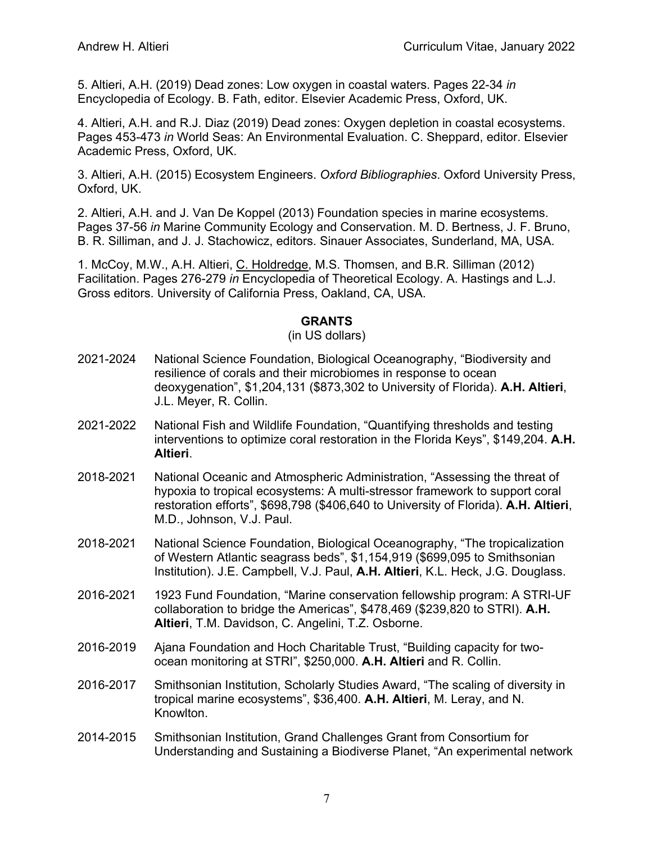5. Altieri, A.H. (2019) Dead zones: Low oxygen in coastal waters. Pages 22-34 *in* Encyclopedia of Ecology. B. Fath, editor. Elsevier Academic Press, Oxford, UK.

4. Altieri, A.H. and R.J. Diaz (2019) Dead zones: Oxygen depletion in coastal ecosystems. Pages 453-473 *in* World Seas: An Environmental Evaluation. C. Sheppard, editor. Elsevier Academic Press, Oxford, UK.

3. Altieri, A.H. (2015) Ecosystem Engineers. *Oxford Bibliographies*. Oxford University Press, Oxford, UK.

2. Altieri, A.H. and J. Van De Koppel (2013) Foundation species in marine ecosystems. Pages 37-56 *in* Marine Community Ecology and Conservation. M. D. Bertness, J. F. Bruno, B. R. Silliman, and J. J. Stachowicz, editors. Sinauer Associates, Sunderland, MA, USA.

1. McCoy, M.W., A.H. Altieri, C. Holdredge, M.S. Thomsen, and B.R. Silliman (2012) Facilitation. Pages 276-279 *in* Encyclopedia of Theoretical Ecology. A. Hastings and L.J. Gross editors. University of California Press, Oakland, CA, USA.

#### **GRANTS**

#### (in US dollars)

- 2021-2024 National Science Foundation, Biological Oceanography, "Biodiversity and resilience of corals and their microbiomes in response to ocean deoxygenation", \$1,204,131 (\$873,302 to University of Florida). **A.H. Altieri**, J.L. Meyer, R. Collin.
- 2021-2022 National Fish and Wildlife Foundation, "Quantifying thresholds and testing interventions to optimize coral restoration in the Florida Keys", \$149,204. **A.H. Altieri**.
- 2018-2021 National Oceanic and Atmospheric Administration, "Assessing the threat of hypoxia to tropical ecosystems: A multi-stressor framework to support coral restoration efforts", \$698,798 (\$406,640 to University of Florida). **A.H. Altieri**, M.D., Johnson, V.J. Paul.
- 2018-2021 National Science Foundation, Biological Oceanography, "The tropicalization of Western Atlantic seagrass beds", \$1,154,919 (\$699,095 to Smithsonian Institution). J.E. Campbell, V.J. Paul, **A.H. Altieri**, K.L. Heck, J.G. Douglass.
- 2016-2021 1923 Fund Foundation, "Marine conservation fellowship program: A STRI-UF collaboration to bridge the Americas", \$478,469 (\$239,820 to STRI). **A.H. Altieri**, T.M. Davidson, C. Angelini, T.Z. Osborne.
- 2016-2019 Ajana Foundation and Hoch Charitable Trust, "Building capacity for twoocean monitoring at STRI", \$250,000. **A.H. Altieri** and R. Collin.
- 2016-2017 Smithsonian Institution, Scholarly Studies Award, "The scaling of diversity in tropical marine ecosystems", \$36,400. **A.H. Altieri**, M. Leray, and N. Knowlton.
- 2014-2015 Smithsonian Institution, Grand Challenges Grant from Consortium for Understanding and Sustaining a Biodiverse Planet, "An experimental network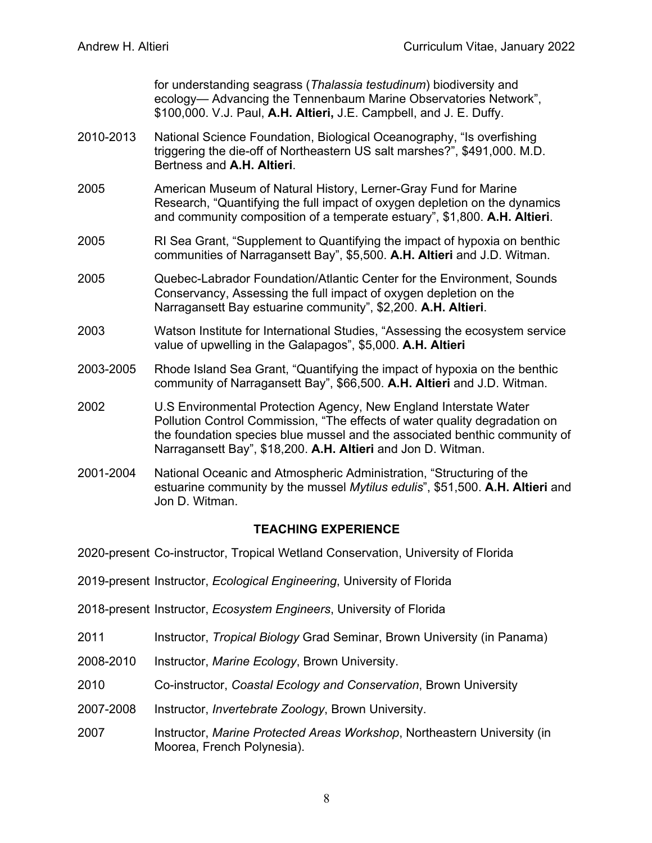for understanding seagrass (*Thalassia testudinum*) biodiversity and ecology— Advancing the Tennenbaum Marine Observatories Network", \$100,000. V.J. Paul, **A.H. Altieri,** J.E. Campbell, and J. E. Duffy.

- 2010-2013 National Science Foundation, Biological Oceanography, "Is overfishing triggering the die-off of Northeastern US salt marshes?", \$491,000. M.D. Bertness and **A.H. Altieri**.
- 2005 American Museum of Natural History, Lerner-Gray Fund for Marine Research, "Quantifying the full impact of oxygen depletion on the dynamics and community composition of a temperate estuary", \$1,800. **A.H. Altieri**.
- 2005 RI Sea Grant, "Supplement to Quantifying the impact of hypoxia on benthic communities of Narragansett Bay", \$5,500. **A.H. Altieri** and J.D. Witman.
- 2005 Quebec-Labrador Foundation/Atlantic Center for the Environment, Sounds Conservancy, Assessing the full impact of oxygen depletion on the Narragansett Bay estuarine community", \$2,200. **A.H. Altieri**.
- 2003 Watson Institute for International Studies, "Assessing the ecosystem service value of upwelling in the Galapagos", \$5,000. **A.H. Altieri**
- 2003-2005 Rhode Island Sea Grant, "Quantifying the impact of hypoxia on the benthic community of Narragansett Bay", \$66,500. **A.H. Altieri** and J.D. Witman.
- 2002 U.S Environmental Protection Agency, New England Interstate Water Pollution Control Commission, "The effects of water quality degradation on the foundation species blue mussel and the associated benthic community of Narragansett Bay", \$18,200. **A.H. Altieri** and Jon D. Witman.
- 2001-2004 National Oceanic and Atmospheric Administration, "Structuring of the estuarine community by the mussel *Mytilus edulis*", \$51,500. **A.H. Altieri** and Jon D. Witman.

## **TEACHING EXPERIENCE**

- 2020-present Co-instructor, Tropical Wetland Conservation, University of Florida
- 2019-present Instructor, *Ecological Engineering*, University of Florida
- 2018-present Instructor, *Ecosystem Engineers*, University of Florida
- 2011 Instructor, *Tropical Biology* Grad Seminar, Brown University (in Panama)
- 2008-2010 Instructor, *Marine Ecology*, Brown University.
- 2010 Co-instructor, *Coastal Ecology and Conservation*, Brown University
- 2007-2008 Instructor, *Invertebrate Zoology*, Brown University.
- 2007 Instructor, *Marine Protected Areas Workshop*, Northeastern University (in Moorea, French Polynesia).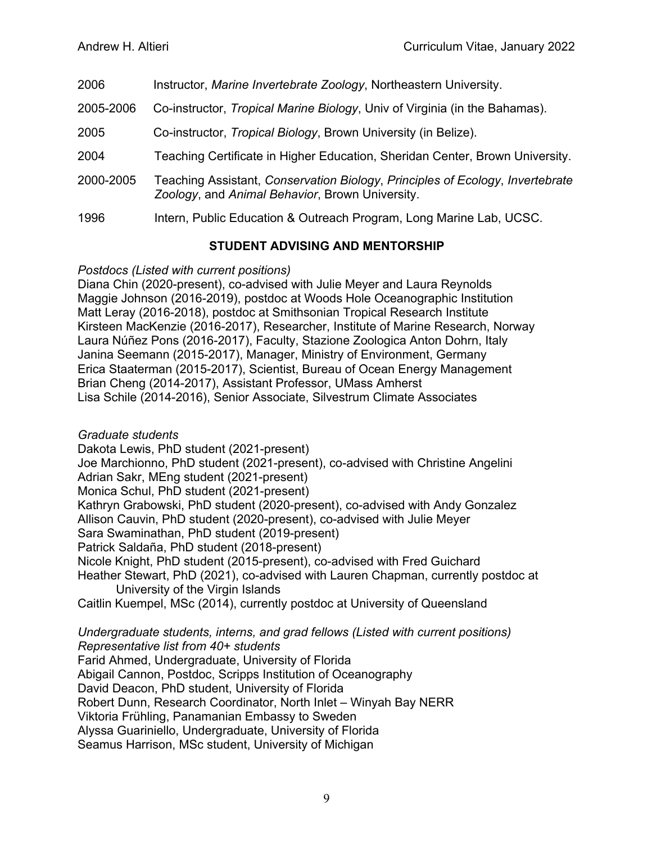- 2006 Instructor, *Marine Invertebrate Zoology*, Northeastern University.
- 2005-2006 Co-instructor, *Tropical Marine Biology*, Univ of Virginia (in the Bahamas).
- 2005 Co-instructor, *Tropical Biology*, Brown University (in Belize).
- 2004 Teaching Certificate in Higher Education, Sheridan Center, Brown University.
- 2000-2005 Teaching Assistant, *Conservation Biology*, *Principles of Ecology*, *Invertebrate Zoology*, and *Animal Behavior*, Brown University.
- 1996 Intern, Public Education & Outreach Program, Long Marine Lab, UCSC.

# **STUDENT ADVISING AND MENTORSHIP**

## *Postdocs (Listed with current positions)*

Diana Chin (2020-present), co-advised with Julie Meyer and Laura Reynolds Maggie Johnson (2016-2019), postdoc at Woods Hole Oceanographic Institution Matt Leray (2016-2018), postdoc at Smithsonian Tropical Research Institute Kirsteen MacKenzie (2016-2017), Researcher, Institute of Marine Research, Norway Laura Núñez Pons (2016-2017), Faculty, Stazione Zoologica Anton Dohrn, Italy Janina Seemann (2015-2017), Manager, Ministry of Environment, Germany Erica Staaterman (2015-2017), Scientist, Bureau of Ocean Energy Management Brian Cheng (2014-2017), Assistant Professor, UMass Amherst Lisa Schile (2014-2016), Senior Associate, Silvestrum Climate Associates

# *Graduate students*

Dakota Lewis, PhD student (2021-present) Joe Marchionno, PhD student (2021-present), co-advised with Christine Angelini Adrian Sakr, MEng student (2021-present) Monica Schul, PhD student (2021-present) Kathryn Grabowski, PhD student (2020-present), co-advised with Andy Gonzalez Allison Cauvin, PhD student (2020-present), co-advised with Julie Meyer Sara Swaminathan, PhD student (2019-present) Patrick Saldaña, PhD student (2018-present) Nicole Knight, PhD student (2015-present), co-advised with Fred Guichard Heather Stewart, PhD (2021), co-advised with Lauren Chapman, currently postdoc at University of the Virgin Islands Caitlin Kuempel, MSc (2014), currently postdoc at University of Queensland

*Undergraduate students, interns, and grad fellows (Listed with current positions) Representative list from 40+ students* Farid Ahmed, Undergraduate, University of Florida Abigail Cannon, Postdoc, Scripps Institution of Oceanography David Deacon, PhD student, University of Florida Robert Dunn, Research Coordinator, North Inlet – Winyah Bay NERR Viktoria Frühling, Panamanian Embassy to Sweden Alyssa Guariniello, Undergraduate, University of Florida Seamus Harrison, MSc student, University of Michigan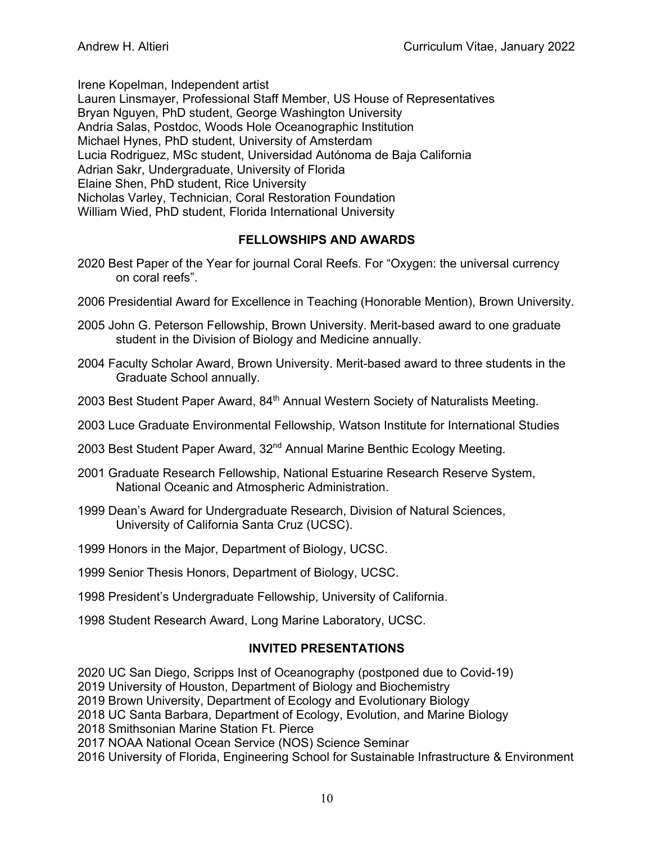Irene Kopelman, Independent artist

Lauren Linsmayer, Professional Staff Member, US House of Representatives Bryan Nguyen, PhD student, George Washington University Andria Salas, Postdoc, Woods Hole Oceanographic Institution Michael Hynes, PhD student, University of Amsterdam Lucia Rodriguez, MSc student, Universidad Autónoma de Baja California Adrian Sakr, Undergraduate, University of Florida Elaine Shen, PhD student, Rice University Nicholas Varley, Technician, Coral Restoration Foundation William Wied, PhD student, Florida International University

# **FELLOWSHIPS AND AWARDS**

- 2020 Best Paper of the Year for journal Coral Reefs. For "Oxygen: the universal currency on coral reefs".
- 2006 Presidential Award for Excellence in Teaching (Honorable Mention), Brown University.
- 2005 John G. Peterson Fellowship, Brown University. Merit-based award to one graduate student in the Division of Biology and Medicine annually.
- 2004 Faculty Scholar Award, Brown University. Merit-based award to three students in the Graduate School annually.
- 2003 Best Student Paper Award, 84<sup>th</sup> Annual Western Society of Naturalists Meeting.
- 2003 Luce Graduate Environmental Fellowship, Watson Institute for International Studies
- 2003 Best Student Paper Award, 32<sup>nd</sup> Annual Marine Benthic Ecology Meeting.
- 2001 Graduate Research Fellowship, National Estuarine Research Reserve System, National Oceanic and Atmospheric Administration.
- 1999 Dean's Award for Undergraduate Research, Division of Natural Sciences, University of California Santa Cruz (UCSC).
- 1999 Honors in the Major, Department of Biology, UCSC.
- 1999 Senior Thesis Honors, Department of Biology, UCSC.
- 1998 President's Undergraduate Fellowship, University of California.
- 1998 Student Research Award, Long Marine Laboratory, UCSC.

## **INVITED PRESENTATIONS**

2020 UC San Diego, Scripps Inst of Oceanography (postponed due to Covid-19)

2019 University of Houston, Department of Biology and Biochemistry

2019 Brown University, Department of Ecology and Evolutionary Biology

2018 UC Santa Barbara, Department of Ecology, Evolution, and Marine Biology

2018 Smithsonian Marine Station Ft. Pierce

2017 NOAA National Ocean Service (NOS) Science Seminar

2016 University of Florida, Engineering School for Sustainable Infrastructure & Environment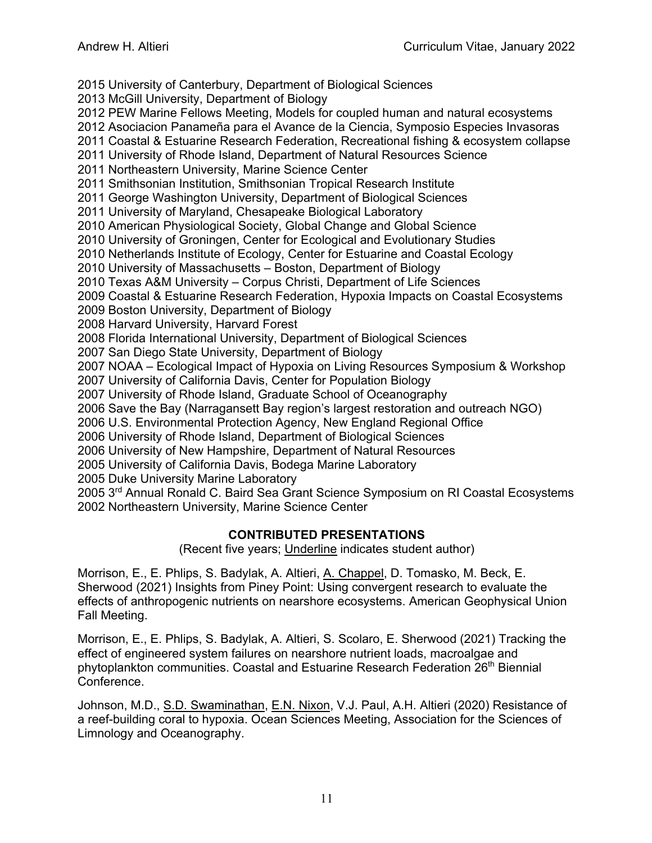2015 University of Canterbury, Department of Biological Sciences

2013 McGill University, Department of Biology

2012 PEW Marine Fellows Meeting, Models for coupled human and natural ecosystems

2012 Asociacion Panameña para el Avance de la Ciencia, Symposio Especies Invasoras

2011 Coastal & Estuarine Research Federation, Recreational fishing & ecosystem collapse

2011 University of Rhode Island, Department of Natural Resources Science

2011 Northeastern University, Marine Science Center

2011 Smithsonian Institution, Smithsonian Tropical Research Institute

2011 George Washington University, Department of Biological Sciences

2011 University of Maryland, Chesapeake Biological Laboratory

2010 American Physiological Society, Global Change and Global Science

2010 University of Groningen, Center for Ecological and Evolutionary Studies

2010 Netherlands Institute of Ecology, Center for Estuarine and Coastal Ecology

2010 University of Massachusetts – Boston, Department of Biology

2010 Texas A&M University – Corpus Christi, Department of Life Sciences

2009 Coastal & Estuarine Research Federation, Hypoxia Impacts on Coastal Ecosystems

2009 Boston University, Department of Biology

2008 Harvard University, Harvard Forest

2008 Florida International University, Department of Biological Sciences

2007 San Diego State University, Department of Biology

2007 NOAA – Ecological Impact of Hypoxia on Living Resources Symposium & Workshop

2007 University of California Davis, Center for Population Biology

2007 University of Rhode Island, Graduate School of Oceanography

2006 Save the Bay (Narragansett Bay region's largest restoration and outreach NGO)

2006 U.S. Environmental Protection Agency, New England Regional Office

2006 University of Rhode Island, Department of Biological Sciences

2006 University of New Hampshire, Department of Natural Resources

2005 University of California Davis, Bodega Marine Laboratory

2005 Duke University Marine Laboratory

2005 3<sup>rd</sup> Annual Ronald C. Baird Sea Grant Science Symposium on RI Coastal Ecosystems 2002 Northeastern University, Marine Science Center

#### **CONTRIBUTED PRESENTATIONS**

(Recent five years; Underline indicates student author)

Morrison, E., E. Phlips, S. Badylak, A. Altieri, A. Chappel, D. Tomasko, M. Beck, E. Sherwood (2021) Insights from Piney Point: Using convergent research to evaluate the effects of anthropogenic nutrients on nearshore ecosystems. American Geophysical Union Fall Meeting.

Morrison, E., E. Phlips, S. Badylak, A. Altieri, S. Scolaro, E. Sherwood (2021) Tracking the effect of engineered system failures on nearshore nutrient loads, macroalgae and phytoplankton communities. Coastal and Estuarine Research Federation 26<sup>th</sup> Biennial Conference.

Johnson, M.D., S.D. Swaminathan, E.N. Nixon, V.J. Paul, A.H. Altieri (2020) Resistance of a reef-building coral to hypoxia. Ocean Sciences Meeting, Association for the Sciences of Limnology and Oceanography.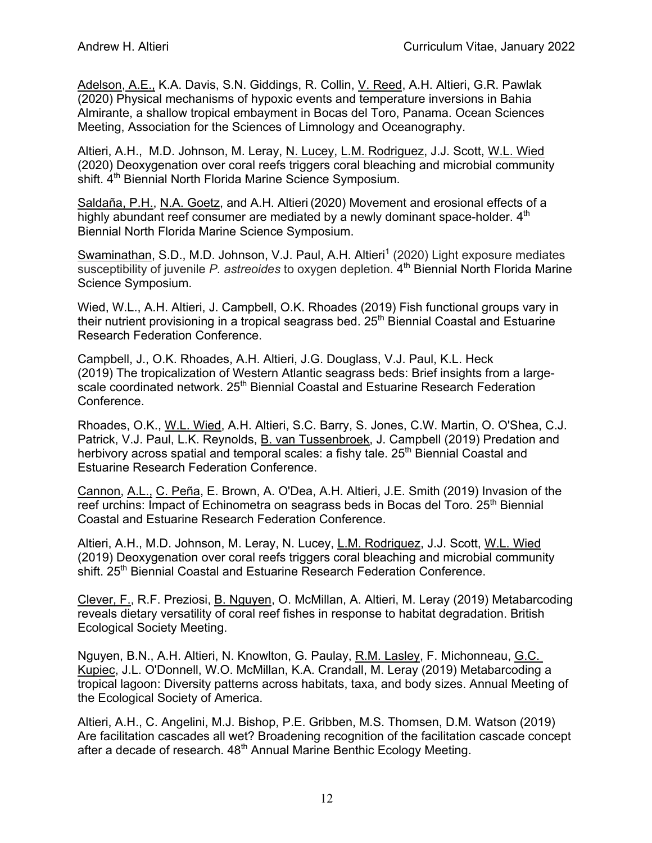Adelson, A.E., K.A. Davis, S.N. Giddings, R. Collin, V. Reed, A.H. Altieri, G.R. Pawlak (2020) Physical mechanisms of hypoxic events and temperature inversions in Bahia Almirante, a shallow tropical embayment in Bocas del Toro, Panama. Ocean Sciences Meeting, Association for the Sciences of Limnology and Oceanography.

Altieri, A.H., M.D. Johnson, M. Leray, N. Lucey, L.M. Rodriguez, J.J. Scott, W.L. Wied (2020) Deoxygenation over coral reefs triggers coral bleaching and microbial community shift. 4<sup>th</sup> Biennial North Florida Marine Science Symposium.

Saldaña, P.H., N.A. Goetz, and A.H. Altieri (2020) Movement and erosional effects of a highly abundant reef consumer are mediated by a newly dominant space-holder.  $4<sup>th</sup>$ Biennial North Florida Marine Science Symposium.

Swaminathan, S.D., M.D. Johnson, V.J. Paul, A.H. Altieri<sup>1</sup> (2020) Light exposure mediates susceptibility of juvenile *P. astreoides* to oxygen depletion. 4<sup>th</sup> Biennial North Florida Marine Science Symposium.

Wied, W.L., A.H. Altieri, J. Campbell, O.K. Rhoades (2019) Fish functional groups vary in their nutrient provisioning in a tropical seagrass bed.  $25<sup>th</sup>$  Biennial Coastal and Estuarine Research Federation Conference.

Campbell, J., O.K. Rhoades, A.H. Altieri, J.G. Douglass, V.J. Paul, K.L. Heck (2019) The tropicalization of Western Atlantic seagrass beds: Brief insights from a largescale coordinated network. 25<sup>th</sup> Biennial Coastal and Estuarine Research Federation Conference.

Rhoades, O.K., W.L. Wied, A.H. Altieri, S.C. Barry, S. Jones, C.W. Martin, O. O'Shea, C.J. Patrick, V.J. Paul, L.K. Reynolds, B. van Tussenbroek, J. Campbell (2019) Predation and herbivory across spatial and temporal scales: a fishy tale. 25<sup>th</sup> Biennial Coastal and Estuarine Research Federation Conference.

Cannon, A.L., C. Peña, E. Brown, A. O'Dea, A.H. Altieri, J.E. Smith (2019) Invasion of the reef urchins: Impact of Echinometra on seagrass beds in Bocas del Toro. 25<sup>th</sup> Biennial Coastal and Estuarine Research Federation Conference.

Altieri, A.H., M.D. Johnson, M. Leray, N. Lucey, L.M. Rodriguez, J.J. Scott, W.L. Wied (2019) Deoxygenation over coral reefs triggers coral bleaching and microbial community shift. 25<sup>th</sup> Biennial Coastal and Estuarine Research Federation Conference.

Clever, F., R.F. Preziosi, B. Nguyen, O. McMillan, A. Altieri, M. Leray (2019) Metabarcoding reveals dietary versatility of coral reef fishes in response to habitat degradation. British Ecological Society Meeting.

Nguyen, B.N., A.H. Altieri, N. Knowlton, G. Paulay, R.M. Lasley, F. Michonneau, G.C. Kupiec, J.L. O'Donnell, W.O. McMillan, K.A. Crandall, M. Leray (2019) Metabarcoding a tropical lagoon: Diversity patterns across habitats, taxa, and body sizes. Annual Meeting of the Ecological Society of America.

Altieri, A.H., C. Angelini, M.J. Bishop, P.E. Gribben, M.S. Thomsen, D.M. Watson (2019) Are facilitation cascades all wet? Broadening recognition of the facilitation cascade concept after a decade of research. 48<sup>th</sup> Annual Marine Benthic Ecology Meeting.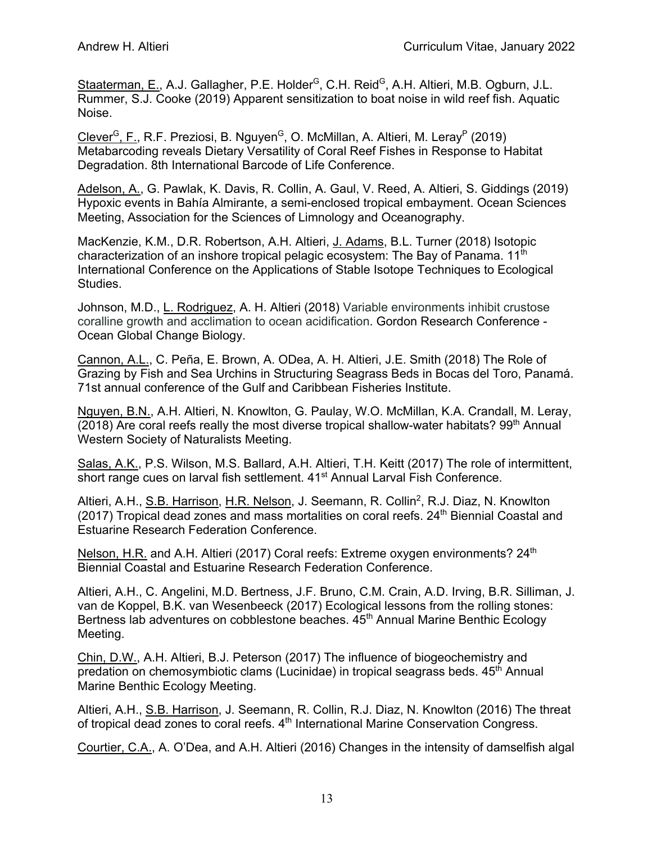Staaterman, E., A.J. Gallagher, P.E. Holder<sup>G</sup>, C.H. Reid<sup>G</sup>, A.H. Altieri, M.B. Ogburn, J.L. Rummer, S.J. Cooke (2019) Apparent sensitization to boat noise in wild reef fish. Aquatic Noise.

Clever<sup>G</sup>, F., R.F. Preziosi, B. Nguyen<sup>G</sup>, O. McMillan, A. Altieri, M. Leray<sup>P</sup> (2019) Metabarcoding reveals Dietary Versatility of Coral Reef Fishes in Response to Habitat Degradation. 8th International Barcode of Life Conference.

Adelson, A., G. Pawlak, K. Davis, R. Collin, A. Gaul, V. Reed, A. Altieri, S. Giddings (2019) Hypoxic events in Bahía Almirante, a semi-enclosed tropical embayment. Ocean Sciences Meeting, Association for the Sciences of Limnology and Oceanography.

MacKenzie, K.M., D.R. Robertson, A.H. Altieri, J. Adams, B.L. Turner (2018) Isotopic characterization of an inshore tropical pelagic ecosystem: The Bay of Panama. 11<sup>th</sup> International Conference on the Applications of Stable Isotope Techniques to Ecological Studies.

Johnson, M.D., L. Rodriguez, A. H. Altieri (2018) Variable environments inhibit crustose coralline growth and acclimation to ocean acidification. Gordon Research Conference - Ocean Global Change Biology.

Cannon, A.L., C. Peña, E. Brown, A. ODea, A. H. Altieri, J.E. Smith (2018) The Role of Grazing by Fish and Sea Urchins in Structuring Seagrass Beds in Bocas del Toro, Panamá. 71st annual conference of the Gulf and Caribbean Fisheries Institute.

Nguyen, B.N., A.H. Altieri, N. Knowlton, G. Paulay, W.O. McMillan, K.A. Crandall, M. Leray, (2018) Are coral reefs really the most diverse tropical shallow-water habitats?  $99<sup>th</sup>$  Annual Western Society of Naturalists Meeting.

Salas, A.K., P.S. Wilson, M.S. Ballard, A.H. Altieri, T.H. Keitt (2017) The role of intermittent, short range cues on larval fish settlement. 41<sup>st</sup> Annual Larval Fish Conference.

Altieri, A.H., S.B. Harrison, H.R. Nelson, J. Seemann, R. Collin<sup>2</sup>, R.J. Diaz, N. Knowlton (2017) Tropical dead zones and mass mortalities on coral reefs.  $24<sup>th</sup>$  Biennial Coastal and Estuarine Research Federation Conference.

Nelson, H.R. and A.H. Altieri (2017) Coral reefs: Extreme oxygen environments? 24<sup>th</sup> Biennial Coastal and Estuarine Research Federation Conference.

Altieri, A.H., C. Angelini, M.D. Bertness, J.F. Bruno, C.M. Crain, A.D. Irving, B.R. Silliman, J. van de Koppel, B.K. van Wesenbeeck (2017) Ecological lessons from the rolling stones: Bertness lab adventures on cobblestone beaches. 45<sup>th</sup> Annual Marine Benthic Ecology Meeting.

Chin, D.W., A.H. Altieri, B.J. Peterson (2017) The influence of biogeochemistry and predation on chemosymbiotic clams (Lucinidae) in tropical seagrass beds. 45<sup>th</sup> Annual Marine Benthic Ecology Meeting.

Altieri, A.H., S.B. Harrison, J. Seemann, R. Collin, R.J. Diaz, N. Knowlton (2016) The threat of tropical dead zones to coral reefs. 4<sup>th</sup> International Marine Conservation Congress.

Courtier, C.A., A. O'Dea, and A.H. Altieri (2016) Changes in the intensity of damselfish algal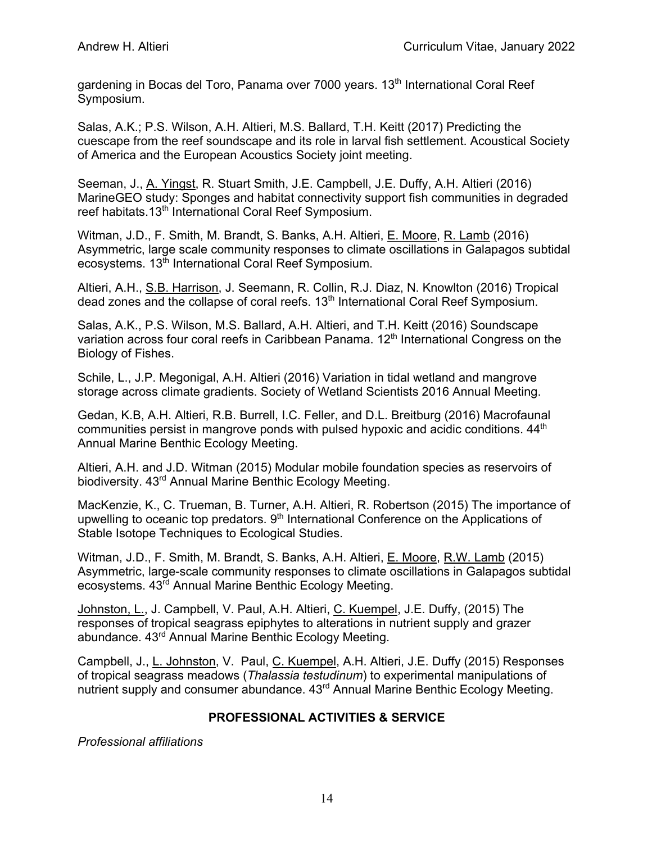gardening in Bocas del Toro, Panama over 7000 years. 13<sup>th</sup> International Coral Reef Symposium.

Salas, A.K.; P.S. Wilson, A.H. Altieri, M.S. Ballard, T.H. Keitt (2017) Predicting the cuescape from the reef soundscape and its role in larval fish settlement. Acoustical Society of America and the European Acoustics Society joint meeting.

Seeman, J., A. Yingst, R. Stuart Smith, J.E. Campbell, J.E. Duffy, A.H. Altieri (2016) MarineGEO study: Sponges and habitat connectivity support fish communities in degraded reef habitats.13<sup>th</sup> International Coral Reef Symposium.

Witman, J.D., F. Smith, M. Brandt, S. Banks, A.H. Altieri, E. Moore, R. Lamb (2016) Asymmetric, large scale community responses to climate oscillations in Galapagos subtidal ecosystems. 13<sup>th</sup> International Coral Reef Symposium.

Altieri, A.H., S.B. Harrison, J. Seemann, R. Collin, R.J. Diaz, N. Knowlton (2016) Tropical dead zones and the collapse of coral reefs.  $13<sup>th</sup>$  International Coral Reef Symposium.

Salas, A.K., P.S. Wilson, M.S. Ballard, A.H. Altieri, and T.H. Keitt (2016) Soundscape variation across four coral reefs in Caribbean Panama. 12<sup>th</sup> International Congress on the Biology of Fishes.

Schile, L., J.P. Megonigal, A.H. Altieri (2016) Variation in tidal wetland and mangrove storage across climate gradients. Society of Wetland Scientists 2016 Annual Meeting.

Gedan, K.B, A.H. Altieri, R.B. Burrell, I.C. Feller, and D.L. Breitburg (2016) Macrofaunal communities persist in mangrove ponds with pulsed hypoxic and acidic conditions.  $44<sup>th</sup>$ Annual Marine Benthic Ecology Meeting.

Altieri, A.H. and J.D. Witman (2015) Modular mobile foundation species as reservoirs of biodiversity. 43<sup>rd</sup> Annual Marine Benthic Ecology Meeting.

MacKenzie, K., C. Trueman, B. Turner, A.H. Altieri, R. Robertson (2015) The importance of upwelling to oceanic top predators. 9<sup>th</sup> International Conference on the Applications of Stable Isotope Techniques to Ecological Studies.

Witman, J.D., F. Smith, M. Brandt, S. Banks, A.H. Altieri, E. Moore, R.W. Lamb (2015) Asymmetric, large-scale community responses to climate oscillations in Galapagos subtidal ecosystems. 43rd Annual Marine Benthic Ecology Meeting.

Johnston, L., J. Campbell, V. Paul, A.H. Altieri, C. Kuempel, J.E. Duffy, (2015) The responses of tropical seagrass epiphytes to alterations in nutrient supply and grazer abundance. 43rd Annual Marine Benthic Ecology Meeting.

Campbell, J., L. Johnston, V. Paul, C. Kuempel, A.H. Altieri, J.E. Duffy (2015) Responses of tropical seagrass meadows (*Thalassia testudinum*) to experimental manipulations of nutrient supply and consumer abundance. 43<sup>rd</sup> Annual Marine Benthic Ecology Meeting.

## **PROFESSIONAL ACTIVITIES & SERVICE**

*Professional affiliations*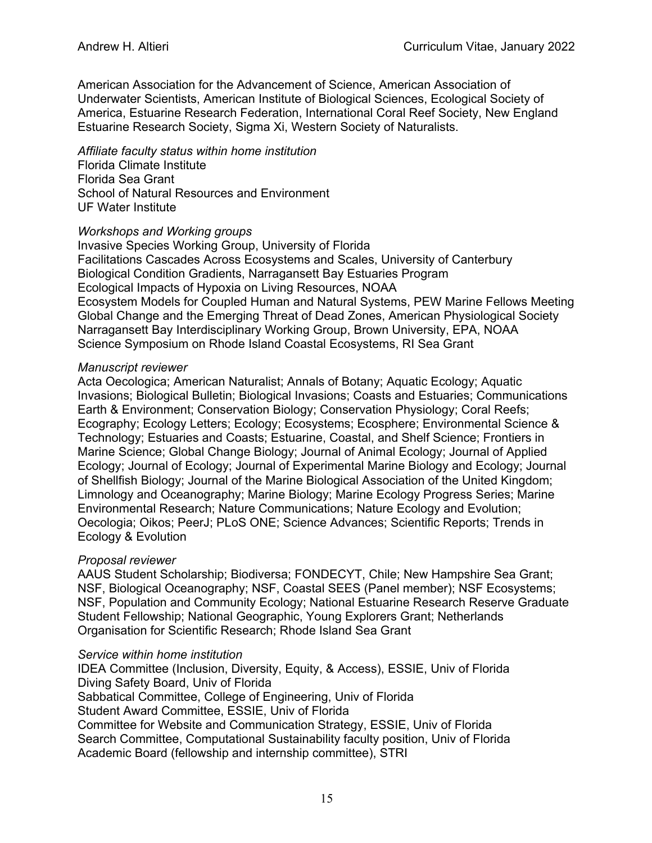American Association for the Advancement of Science, American Association of Underwater Scientists, American Institute of Biological Sciences, Ecological Society of America, Estuarine Research Federation, International Coral Reef Society, New England Estuarine Research Society, Sigma Xi, Western Society of Naturalists.

*Affiliate faculty status within home institution* Florida Climate Institute

Florida Sea Grant School of Natural Resources and Environment UF Water Institute

## *Workshops and Working groups*

Invasive Species Working Group, University of Florida Facilitations Cascades Across Ecosystems and Scales, University of Canterbury Biological Condition Gradients, Narragansett Bay Estuaries Program Ecological Impacts of Hypoxia on Living Resources, NOAA Ecosystem Models for Coupled Human and Natural Systems, PEW Marine Fellows Meeting Global Change and the Emerging Threat of Dead Zones, American Physiological Society Narragansett Bay Interdisciplinary Working Group, Brown University, EPA, NOAA Science Symposium on Rhode Island Coastal Ecosystems, RI Sea Grant

## *Manuscript reviewer*

Acta Oecologica; American Naturalist; Annals of Botany; Aquatic Ecology; Aquatic Invasions; Biological Bulletin; Biological Invasions; Coasts and Estuaries; Communications Earth & Environment; Conservation Biology; Conservation Physiology; Coral Reefs; Ecography; Ecology Letters; Ecology; Ecosystems; Ecosphere; Environmental Science & Technology; Estuaries and Coasts; Estuarine, Coastal, and Shelf Science; Frontiers in Marine Science; Global Change Biology; Journal of Animal Ecology; Journal of Applied Ecology; Journal of Ecology; Journal of Experimental Marine Biology and Ecology; Journal of Shellfish Biology; Journal of the Marine Biological Association of the United Kingdom; Limnology and Oceanography; Marine Biology; Marine Ecology Progress Series; Marine Environmental Research; Nature Communications; Nature Ecology and Evolution; Oecologia; Oikos; PeerJ; PLoS ONE; Science Advances; Scientific Reports; Trends in Ecology & Evolution

## *Proposal reviewer*

AAUS Student Scholarship; Biodiversa; FONDECYT, Chile; New Hampshire Sea Grant; NSF, Biological Oceanography; NSF, Coastal SEES (Panel member); NSF Ecosystems; NSF, Population and Community Ecology; National Estuarine Research Reserve Graduate Student Fellowship; National Geographic, Young Explorers Grant; Netherlands Organisation for Scientific Research; Rhode Island Sea Grant

## *Service within home institution*

IDEA Committee (Inclusion, Diversity, Equity, & Access), ESSIE, Univ of Florida Diving Safety Board, Univ of Florida Sabbatical Committee, College of Engineering, Univ of Florida Student Award Committee, ESSIE, Univ of Florida Committee for Website and Communication Strategy, ESSIE, Univ of Florida Search Committee, Computational Sustainability faculty position, Univ of Florida Academic Board (fellowship and internship committee), STRI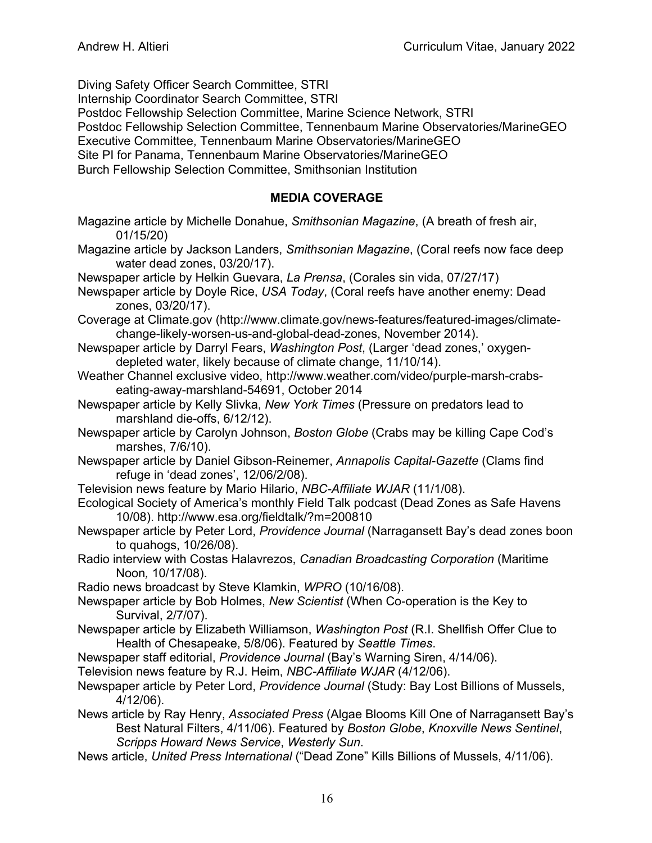Diving Safety Officer Search Committee, STRI Internship Coordinator Search Committee, STRI Postdoc Fellowship Selection Committee, Marine Science Network, STRI Postdoc Fellowship Selection Committee, Tennenbaum Marine Observatories/MarineGEO Executive Committee, Tennenbaum Marine Observatories/MarineGEO Site PI for Panama, Tennenbaum Marine Observatories/MarineGEO Burch Fellowship Selection Committee, Smithsonian Institution

#### **MEDIA COVERAGE**

- Magazine article by Michelle Donahue, *Smithsonian Magazine*, (A breath of fresh air, 01/15/20)
- Magazine article by Jackson Landers, *Smithsonian Magazine*, (Coral reefs now face deep water dead zones, 03/20/17).
- Newspaper article by Helkin Guevara, *La Prensa*, (Corales sin vida, 07/27/17)
- Newspaper article by Doyle Rice, *USA Today*, (Coral reefs have another enemy: Dead zones, 03/20/17).
- Coverage at Climate.gov (http://www.climate.gov/news-features/featured-images/climatechange-likely-worsen-us-and-global-dead-zones, November 2014).
- Newspaper article by Darryl Fears, *Washington Post*, (Larger 'dead zones,' oxygendepleted water, likely because of climate change, 11/10/14).
- Weather Channel exclusive video, http://www.weather.com/video/purple-marsh-crabseating-away-marshland-54691, October 2014
- Newspaper article by Kelly Slivka, *New York Times* (Pressure on predators lead to marshland die-offs, 6/12/12).
- Newspaper article by Carolyn Johnson, *Boston Globe* (Crabs may be killing Cape Cod's marshes, 7/6/10).
- Newspaper article by Daniel Gibson-Reinemer, *Annapolis Capital-Gazette* (Clams find refuge in 'dead zones', 12/06/2/08).
- Television news feature by Mario Hilario, *NBC-Affiliate WJAR* (11/1/08).
- Ecological Society of America's monthly Field Talk podcast (Dead Zones as Safe Havens 10/08). http://www.esa.org/fieldtalk/?m=200810
- Newspaper article by Peter Lord, *Providence Journal* (Narragansett Bay's dead zones boon to quahogs, 10/26/08).
- Radio interview with Costas Halavrezos, *Canadian Broadcasting Corporation* (Maritime Noon*,* 10/17/08).
- Radio news broadcast by Steve Klamkin, *WPRO* (10/16/08).
- Newspaper article by Bob Holmes, *New Scientist* (When Co-operation is the Key to Survival, 2/7/07).
- Newspaper article by Elizabeth Williamson, *Washington Post* (R.I. Shellfish Offer Clue to Health of Chesapeake, 5/8/06). Featured by *Seattle Times*.
- Newspaper staff editorial, *Providence Journal* (Bay's Warning Siren, 4/14/06).
- Television news feature by R.J. Heim, *NBC-Affiliate WJAR* (4/12/06).
- Newspaper article by Peter Lord, *Providence Journal* (Study: Bay Lost Billions of Mussels, 4/12/06).
- News article by Ray Henry, *Associated Press* (Algae Blooms Kill One of Narragansett Bay's Best Natural Filters, 4/11/06). Featured by *Boston Globe*, *Knoxville News Sentinel*, *Scripps Howard News Service*, *Westerly Sun*.
- News article, *United Press International* ("Dead Zone" Kills Billions of Mussels, 4/11/06).